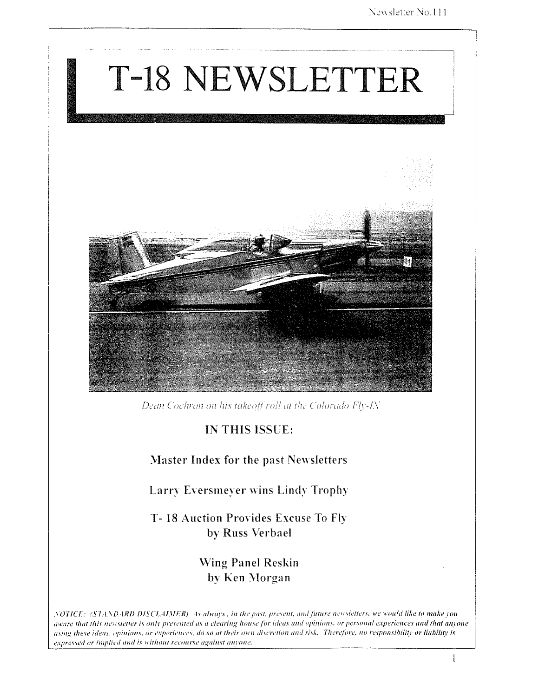

Dean Cochran on his takeoff roll at the Colorado Fly-IN

## IN THIS ISSUE:

### Master Index for the past Newsletters

Larry Eversmeyer wins Lindy Trophy

T-18 Auction Provides Excuse To Fly by Russ Verbael

> **Wing Panel Reskin** by Ken Morgan

NOTICE: (STANDARD DISCLAIMER) As always, in the past, present, and future newsletters, we would like to make you aware that this nesesletter is only presented as a clearing house for ideas and opinions, or personal experiences and that anyone using these ideas, opinions, or experiences, do so at their own discretion and risk. Therefore, no responsibility or liability is expressed or implied and is without recourse against anyone.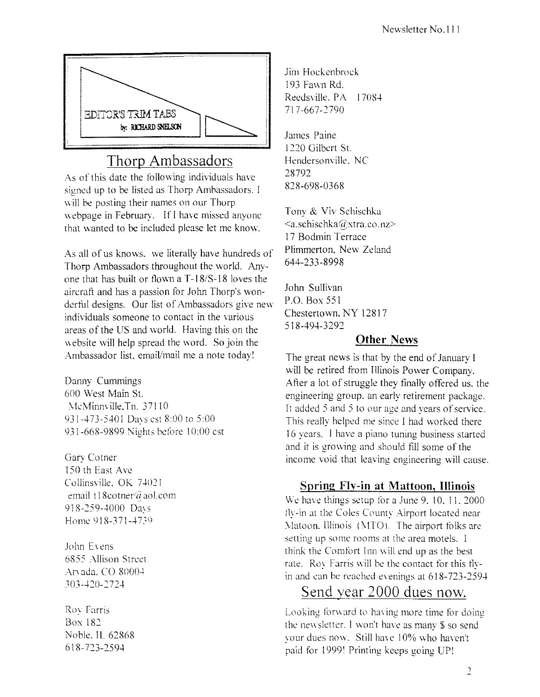

# Thorp Ambassadors

As of this date the following individuals have signed up to be listed as Thorp Ambassadors. I will be posting their names on our Thorp webpage in February. If I have missed anyone that wanted to be included please let me know.

As all of us knows. we literally have hundreds of Thorp Ambassadors throughout the world. Anyone that has built or flown a T-18/S-18 loves the aircraft and has a passion for John Thorp's wonderful designs. Our list of Ambassadors give new individuals someone to contact in the various areas of the US and world. Having this on the website will help spread the word. So join the Ambassador list, email/mail me a note today!

Danny Cummings 600 West Main SI. McMinnville.Tn. 37110 931-473-5401 Davs cst 8:00 to 5:00 931-668-9899 Nights betore 10:00 cst

Gary Cotner ISO th East Ave Collinsville. OK 74021 email t18cotner@aol.com 918-259-4000 Davs Home 918-371-4739

John Evens 6855 Allison Street Arvada, CO 80004 303-420-2724

Roy Farris Box 182 Noble. IL 62868 618-723-2594

Jim Hockenbrock 193 Fawn Rd. Reedsville, PA 17084 717-667-2790

James Paine 1220 Gilbert St. Hendersonville. NC 28792 *828-698-0368* 

Tony & Viv Schischku <a.schischka@xtra.co.nz> 17 Bodmin Terrace Plimmerton. New Zeland 644-233-8998

John Sullivan P.O. Box 551 Chestertown. NY 12817 518-494-3292

### Other News

The great news is that by the end of January I will be retired from Illinois Power Company. After a lot of struggle they finally offered us, the engineering group. an early retirement package. It added 5 and 5 to our age and years of service. This really helped me since I had worked there 16 years. I have a piano tuning business started and it is growing and should fill some of the income void that leaving engineering will cause.

# Spring Flv-in at Mattoon, Illinois

We have things setup for a June  $9, 10, 11, 2000$ fly-in at the Coles County Airport located near Matoon. Illinois (MTO). The airport folks are setting up some rooms at the area motels. I think the Comfort Inn will end up as the best rate. Roy Farris will be the contact tor this tlyin and can be reached evenings at  $618-723-2594$ 

# Send year 2000 dues now.

Looking forward to having more time for doing the newsletter. I won't have as many \$ so send your dues now. Still have 10% who haven't paid for 1999' Printing keeps going UP'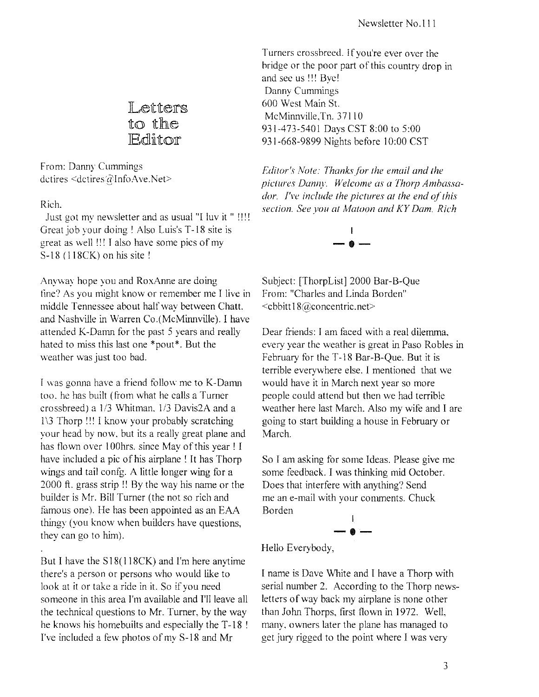Letters to the **IEditor** 

From: Danny Cummings dctires <dctires @Info Ave. Net>

Rich.

Just got my newsletter and as usual "I luv it " !!!! Great job your doing ! Also Luis's T-18 site is great as well III I also have some pics of my S-18 (118CK) on his site !

Anyway hope you and RoxAnne are doing tine? As you might know or remember me I live in middle Tennessee about half way between Chatt. and Nashville in Warren Co. (McMinnville). I have attended K-Damn for the past 5 years and really hated to miss this last one \*pout\*. But the weather was just too bad.

I was gonna have a friend follow me to K-Damn too. he has built (from what he calls a Turner crossbreed) a 1/3 Whitman, 1/3 Davis2A and a  $1 \times 3$  Thorp !!! I know your probably scratching your head by now. but its a really great plane and has flown over 100hrs. since May of this year ! I have included a pic of his airplane! It has Thorp wings and tail confg. A little longer wing for a 2000 ft. grass strip !! By the way his name or the builder is Mr. Bill Turner (the not so rich and famous one). He has been appointed as an EAA thingy (you know when builders have questions, they can go to him).

But I have the S18(118CK) and I'm here anytime there's a person or persons who would like to look at it or take a ride in it. So if you need someone in this area I'm available and I'll leave all the technical questions to Mr. Turner, by the way he knows his homebuilts and especially the T-18 ! I've included a few photos of my S-18 and Mr

Turners crossbreed. If you're ever over the hridge or the poor part of this country drop in and see us !!! Bye! Danny Cummings 600 West Main St. McMinnville.Tn. 37110 931-473-5401 Days CST 8:00 to 5:00 931-668-9899 Nights before 10:00 CST

*F:ditor's Nole: Thanksfor the email and the pic/lires Danny. Welcome as a Thorp Ambassador.* I've include the pictures at the end of this *section. See you at Matoon and KY Dam. Rich* 



Subject: [ThorpList] 2000 Bar-B-Que From: "Charles and Linda Borden" <cbbitt 18@,concentric.net>

Dear friends: I am faced with a real dilemma. every year the weather is great in Paso Robles in February for the T -18 Bar-B-Que. But it is terrible everywhere else. I mentioned that we would have it in March next year so more people could attend hut then we had terrible weather here last March. Also my wife and I are going to start building a house in February or March.

So I am asking for some Ideas. Please give me some feedback. I was thinking mid October. Does that interfere with anything? Send me an e-mail with your comments. Chuck Borden I

$$
\overset{1}{-\bullet}-
$$

Hello Everybody,

I name is Dave White and I have a Thorp with serial number 2. According to the Thorp newsletters of way back my airplane is none other than John Thorps, first flown in 1972. Well, many. owners later the plane has managed to get jury rigged to the point where I was very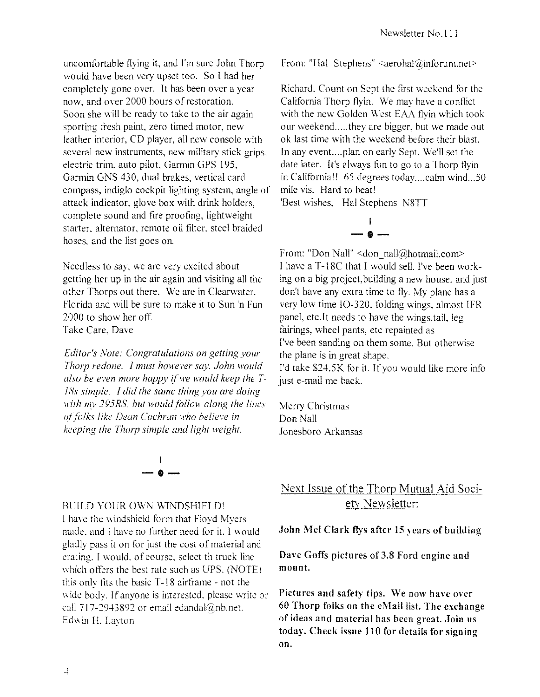uncomtortable flying it, and I'm sure John Thorp would have been very upset too. So I had her completely gone ovcr. It has been over a year now, and over 2000 hours of restoration. Soon she will be ready to take to the air again sporting fresh paint, zero timed motor, new leather interior, CD player, all new console with several new instruments, new military stick grips. electric trim. auto pilot. Garmin GPS 195. Garmin GNS 430, dual brakes, vertical card compass, indiglo cockpit lighting system, angle of attack indicator, glove box with drink holders. complete sound and fire proofing, lightweight starter. alternator. remote oil filter. steel braided hoses. and the list goes on.

Needless to say. we are very excited about getting her up in the air again and visiting all the other Thorps out there. We are in Clearwater. Florida and will be sure to make it to Sun 'n Fun 2000 to show her off. Take Care. Dave

*Editor's Note: Congratulations on gelling your Thorp redone. I musr however say. John would*  also be even more happy if we would keep the T-*ISs simple. I did the same rhing you are doing With mv 295RS, but would follow along the lines*  $of$  folks like Dean Cochran who believe in *keeping the Thorp simple and light weight.* 



#### BUILD YOUR OWN WINDSHIELD'

I have the windshield form that Floyd Myers made, and I have no further need for it. I would gladly pass it on for just the cost of material and crating. I would, of course, select th truck line which offers the best rate such as UPS. (NOTE) this only fits the basic T-18 airframe - not the wide body. If anyone is interested, please write or call 717-2943892 or email edandal@nb.net. Edwin H. Layton

From: "Hal Stephens"  $\leq$ aerohal $@$ inforum.net $\geq$ 

Richard. Count on Sept the first weekend for the California Thorp flyin. \Ve may have a conflict with the new Golden West EAA flyin which took our weekend.....they are bigger, but we made out ok last time with the weekend before their blast. In any event....plan on early Sept. We'll set the date later. It's always fun to go to a Thorp flyin in California!! 65 degrees today....calm wind...50 mile vis. Hard to beat!

'Best wishes, Hal Stephens N8TT

$$
\overset{\text{!}}{\text{}}\, \overset{\text{!}}{\text{}}\, \overset{\text{!}}{\text{}}
$$

From: "Don Nall" <don\_nall@hotmail.com> I have a T-18C that I would sell. I've been working on a big project, building a new house. and just don't have any extra time to fly. My plane has a very low time IO-320, folding wings, almost IFR panel, etc.lt needs to have the wings.tail. leg fairings, wheel pants, etc repainted as I've been sanding on them some. But otherwise the plane is in great shape. I'd take \$24.5K for it. If you would like more info just e-mail me back.

Merry Christmas Don Nail Jonesboro Arkansas

# Next Issue of the Thorp Mutual Aid Society Newsletter:

#### .John Mel Clark flys after 15 years of building

### Dave Goffs pictures of 3,8 Ford engine and mount,

Pictures and safety tips. We now have over 60 Thorp folks on the eMail list, The exchange of ideas and material has been great. Join us today, Check issue 110 for details for signing on.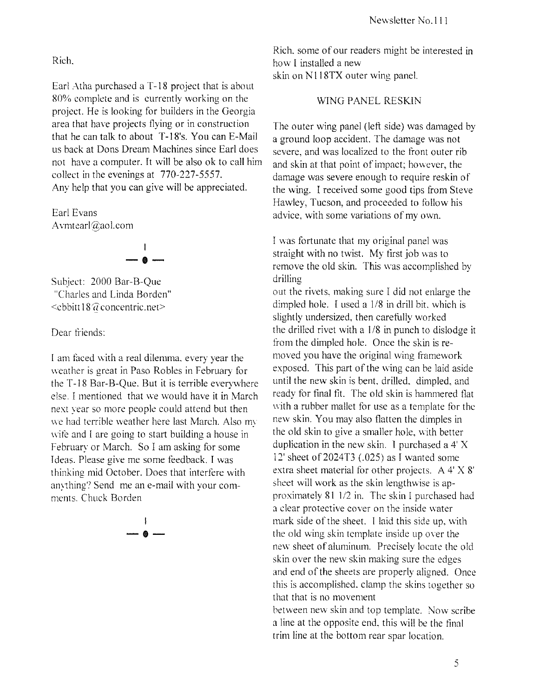Rich.

Earl Atha purchased a T-18 project that is about 80% complete and is currently working on the project. He is looking for builders in the Georgia area that have projects flying or in construction that he can talk to about T-18's. You can E-Mail us back at Dons Dream Machines since Earl does not have a computer. It will be also ok to call him collect in the evenings at 770-227-5557. Any help that you can give will be appreciated.

Earl Evans Avmtearl $@$ aol.com



Subject: 2000 Bar-B-Que "Charles and Linda Borden"  $\le$ cbbitt 18 $\widehat{a}$  concentric.net>

Dear friends:

[ am taced with a real dilemma. every year the weather is great in Paso Robles in february for the T -18 Bar-B-Que. But it is terrible everywhere else. I mentioned that we would have it in March next year so more people could attend but then we had terrible weather here last March. Also my wife and I are going to start building a house in february or March. So I am asking for some Ideas. Please give me some teedback. I was thinking mid October. Does that interfere with anything? Send me an e-mail with your com-<br>ments. Chuck Borden



Rich. some of our readers might be interested in how I installed a new skin on N118TX outer wing panel.

#### WING PANEL RESKIN

The outer wing panel (left side) was damaged by a ground loop accident. The damage was not severe, and was localized to the front outer rib and skin at that point of impact; however, the damage was severe enough to require reskin of the wing. I received some good tips from Steve Hawley, Tucson, and proceeded to follow his advice, with some variations of my own.

I was fortunate that my original panel was straight with no twist. My first job was to remove the old skin. This was accomplished by drilling

out the rivets. making sure I did not enlarge the dimpled hole. I used a  $1/8$  in drill bit, which is slightly undersized, then carefully worked the drilled rivet with a  $1/8$  in punch to dislodge it from the dimpled hole. Once the skin is removed you have the original wing framework exposed. This part of the wing can be laid aside until the new skin is bent. drilled. dimpled, and ready for final fit. The old skin is hammered tlat with a rubber mallet for use as a template for the new skin. You may also flatten the dimples in the old skin to give a smaller hole, with better duplication in the new skin. I purchased a 4' X 12' sheet of  $2024T3$  (.025) as I wanted some extra sheet material for other projects. A 4' X 8' sheet will work as the skin lengthwise is approximately 81 1/2 in. The skin I purchased had a clear protective cover on the inside water mark side of the sheet. I laid this side up. with the old wing skin template inside up owr the new sheet of aluminum. Precisely locate the old skin over the new skin making sure the edges and end of the sheets are properly aligned. Once [his is accomplished. clamp the skins together so that that is no movement between new skin and top template. Now scribe a line at the opposite end, this will be the final trim line at the bottom rear spar location.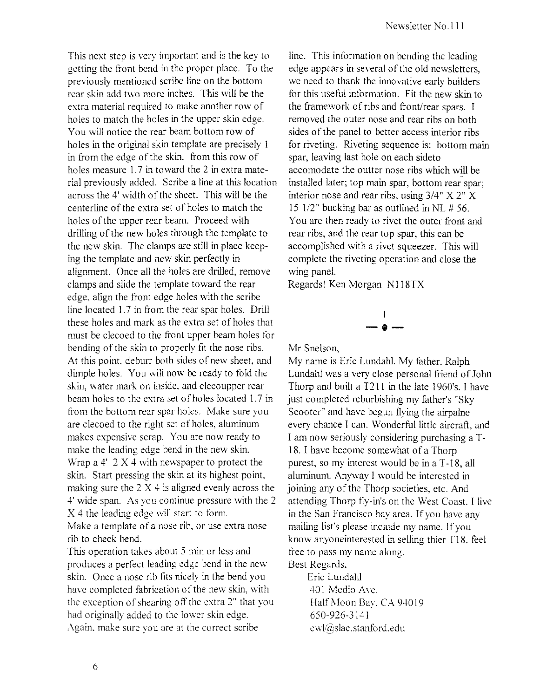This next step is very important and is the key to getting the front bend in the proper place. To the previously mentioned scribe line on the bottom rear skin add two more inches. This will be the extra material required to make another row of holes to match the holes in the upper skin edge. You will notice the rear beam bottom row of holes in the original skin template are precisely I in from the edge of the skin. from this row of holes measure 1.7 in toward the 2 in extra material previously added. Scribe a line at this location across the 4' width of the sheet. This will be the centerline of the extra set of holes to match the holes of the upper rear beam. Proceed with drilling of the new holes through the template to the new skin. The clamps are still in place keeping the template and new skin perfectly in alignment. Once all the holes are drilled, remove clamps and slide the template toward the rear edge, align the front edge holes with the scribe line located 1.7 in from the rear spar holes. Drill these holes and mark as the extra set of holes that must be clecoed to the front upper beam holes for bending of the skin to properly fit the nose ribs. At this point. deburr both sides of new sheet, and dimple holes. You \vill now be ready to fold the skin, water mark on inside. and clecoupper rear beam holes to the extra set of holes located 1.7 in from the bottom rear spar holes. Make sure you are clecoed to the right set of holes, aluminum makes expensive scrap. You are now ready to make the leading edge bend in the new skin. Wrap a 4' 2 X 4 with newspaper to protect the skin. Start pressing the skin at its highest point, making sure the  $2 \times 4$  is aligned evenly across the 4' wide span. As you continue pressure with the 2 X 4 the leading edge will start to form. Make a template of a nose rib, or use extra nose rib to check bend.

This operation takes about 5 min or less and produces a perfect leading edge bend in the new skin. Once a nose rib fits nicely in the bend you have completed fabrication of the new skin, with the exception of shearing off the extra 2" that you had originally added to the lower skin edge. Again. make sure you are at the correct scribe

line. This information on bending the leading edge appears in several of the old newsletters, we need to thank the innovative early builders for this useful information. Fit the new skin to the framework of ribs and front/rear spars. I removed the outer nose and rear ribs on both sides of the panel to better access interior ribs for riveting. Riveting sequence is: bottom main spar, leaving last hole on each sideto accomodate the outter nose ribs which will be installed later; top main spar, bottom rear spar; interior nose and rear ribs, using 3/4" X 2" X 15  $1/2$ " bucking bar as outlined in NL # 56. You are then ready to rivet the outer front and rear ribs, and the rear top spar, this can be accomplished with a rivet squeezer. This will complete the riveting operation and close the wing panel.

Regards! Ken Morgan N118TX



Mr Snelson,

My name is Eric Lundahl. My father. Ralph Lundahl was a very close personal friend of John Thorp and built a T211 in the late 1960's. I have just completed reburbishing my father's "Sky Scooter" and have begun flying the airpalne every chance I can. Wonderful little aircraft, and I am now seriously considering purchasing a T-18. I have become somewhat of a Thorp purest, so my interest would be in a T -18, all aluminum. Anyway I would be interested in joining any of the Thorp societies, etc. And attending Thorp fly-in's on the West Coast. I live in the San Francisco bay area. If you have any mailing list's please include my name. If you know anyone interested in selling thier Tl8. feel free to pass my name along. Best Regards,

Eric Lundahl 401 Medio Ave. Half Moon Bay. CA 94019 650-926-3141 ewl@slac.stanford.edu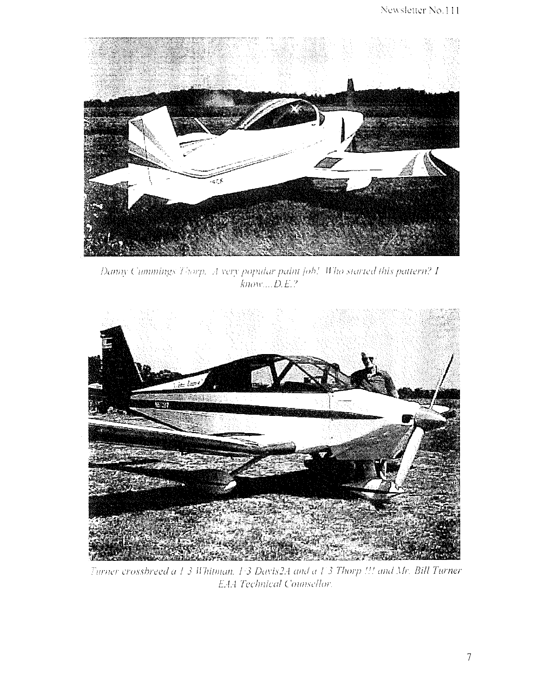

Danny Cummings Thorp. A very popular paint job! Who started this pattern? I  $k$ now.... $D.E.$ ?



Turner crossbreed a 1-3 Whitman, 1:3 Davis2A and a 1:3 Thorp !!! and Mr. Bill Turner E.A.4 Technical Counsellor.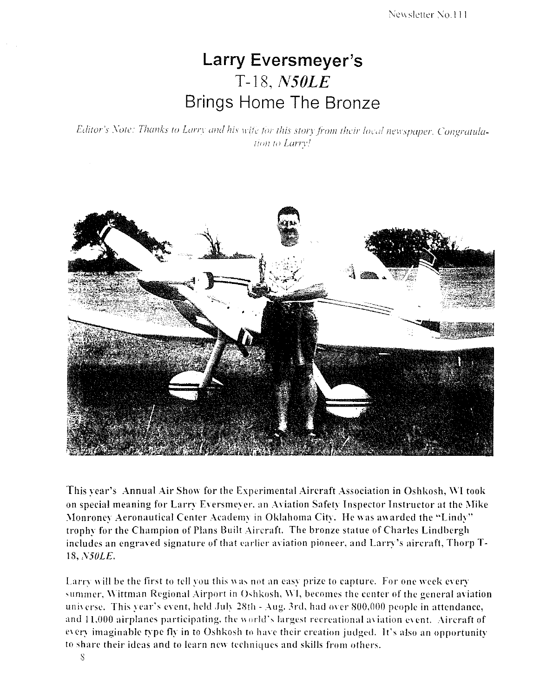# **Larry Eversmeyer's**  T-18, *N50LE*  Brings Home The Bronze

Editor's Note: Thanks to Larry and his wife for this story from their local newspaper. Congratulation to Larry!



This year's Annual Air Show for the [xperimental Aircraft Association in Oshkosh, WI took on special meaning for Larry Eversmeyer, an Aviation Safety Inspector Instructor at the Mike Monroney Aeronautical Center Academy in Oklahoma City. He was awarded the "Lindy" trophy for the Champion of Plans Built Aircraft. The bronze statue of Charles Lindbergh includes an engraved signature of that earlicr aviation pioneer. and Larry's aircraft. Thorp T-18, N50LE.

Larry will be the first to tell you this was not an easy prize to capture. For one week every summer, Wittman Regional Airport in Oshkosh, WI, becomes the center of the general aviation universe. This year's event, held July 28th - Aug. 3rd, had over 800,000 people in attendance, and 11,000 airplanes participating, the world's largest recreational aviation event. Aircraft of every imaginable type fly in to Oshkosh to have their creation judged. It's also an opportunity to share their ideas and to learn new techniques and skills from others.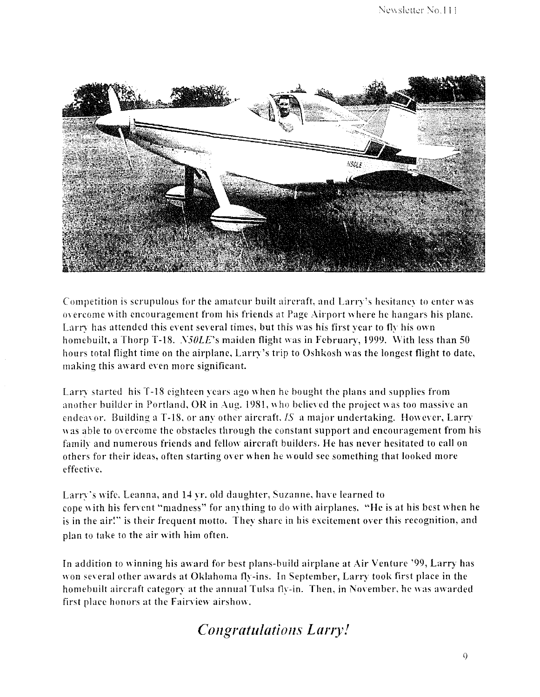

Competition is scrupulous for the amateur built aircraft, and Larry's hesitancy to enter was 01 ercome with encouragement from his friends at Page Airport where he hangars his plane. Larry has attended this event several times, but this was his first year to fly his own homebuilt, a Thorp T-18. *N50LE*'s maiden flight was in February, 1999. With less than 50 hours total flight time on the airplane, Larry's trip to Oshkosh was the longest flight to date, making this award even more significant.

Larry started his T-18 eighteen years ago when he bought the plans and supplies from another builder in Portland, OR in Aug. 1981, who believed the project was too massive an endeavor. Building a T-18, or any other aircraft. *IS* a major undertaking. However, Larry was able to overcome the obstacles through the constant support and encouragement from his family and numerous friends and fellow aircraft builders. He has never hesitated to call on others for their ideas, often starting over when he would see something that looked more effective.

Larry's wife. Leanna, and 14 yr. old daughter, Suzanne, have learned to cope with his fervent "madness" for anything to do with airplanes. "He is at his best when he is in the air!" is their frequent motto. They share in his excitement over this recognition, and plan to take to the air with him often.

In addition to winning his award for best plans-build airplane at Air Venture '99, Larry has won several other awards at Oklahoma fly-ins. In September, Larry took first place in the homebuilt aircraft category at the annual Tulsa fly-in. Then, in November, he was awarded first place honors at the Fairview airshow.

# *Congratulations Larry!*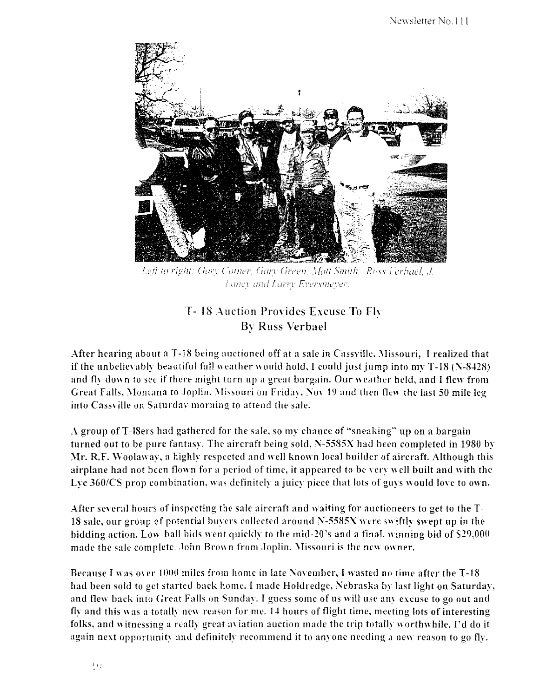

*Left to right: Gary Cotner, Gary Green, Matt Smith, Russ Verbael, J.* ;' 0;7 \_\_\_ '1' *Ol?(!* runT *E1"c'rSIlli..'),I..!F* 

## T- 18 Auction Provides Excuse To fh By Russ Verbael

After hearing about a T-18 being auctioned off at a sale in Cassville. \Iissouri, I realized that if the unbelievably beautiful fall weather would hold, I could just jump into my  $T-18$  ( $N-8+128$ ) and fly down to see if there might turn up a great bargain. Our weather held, and I flew from Great Falls. Montana to Joplin. Missouri on Friday, Nov 19 and then flew the last 50 mile leg into Cassville on Saturday morning to attend the sale.

A group of T -18ers had gathered for the sale. so my chance of "sneaking" up on a bargain turned out to be pure fantasy. The aircraft being sold,  $N-5585X$  had been completed in 1980 by \11'. R.F. Woolaway. a highly respected and well known local builder of aircraft. Although this airplane had not been flown for a period of time, it appeared to be very well built and with the Lyc 360/CS prop combination, was definitely a juicy piece that lots of guys would love to own.

After several hours of inspecting the sale aircraft and waiting for auctioneers to get to the T-18 sale, our group of potential buyers collected around N-5585X were swiftly swept up in the bidding action. Low-ball bids went quickly to the mid-20's and a final, winning bid of \$29,000 made the sale complete. John Brown from Joplin, Missouri is the new owner.

Because I was over  $1000$  miles from home in late November, I wasted no time after the T-18 had been sold to get started back home. I made Holdredge, Nebraska by last light on Saturday, and flew back into Great Falls on Sunday. I guess some of us will usc any excuse to go out and fly and this was a totally new reason for me. 14 hours of flight time, meeting lots of interesting folks, and witnessing a really great aviation auction made the trip totally worthwhile. I'd do it again next opportunity and definitely recommend it to anyone needing a new reason to go fly.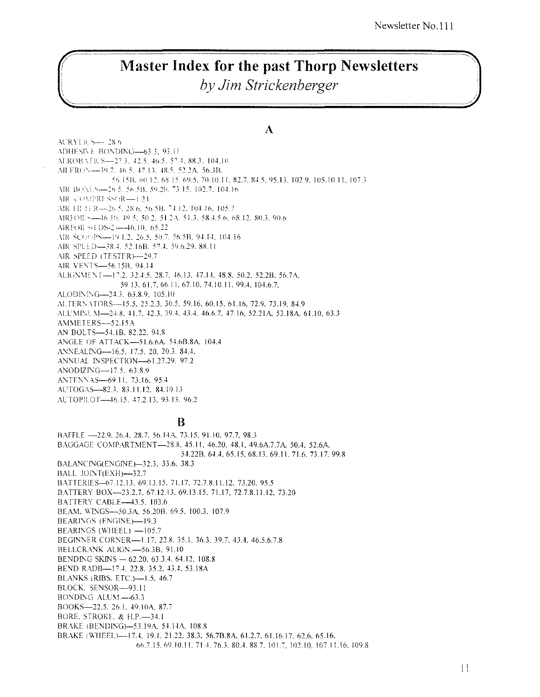# **Master Index for the past Thorp Newsletters**

by Jim Strickenberger

 $\mathbf{A}$ 

**ACRYLICS-28.6** ADHESIVE BONDING-63.3, 93.11 AEROBA (ICS-27.3, 42.5, 46.5, 57.4, 88.3, 104.10) AILERON-39.7, 46.5, 47.13, 48.5, 52.2A, 56.3B, 56.15B, 60.12, 68.15, 69.5, 70.10.11, 82.7, 84.5, 95.13, 102.9, 105.10.11, 107.3 AIR BOXES-26.5, 56.5B, 59.20, 73.15, 102.7, 104.16 AIR COMPRESSOR-1.24 AIR FII FFR-26 5, 28.6, 56.5B, 74.12, 104.16, 105.7 AIRFOILN-46.10, 49.5, 50.2, 51.2A, 51.3, 58.4.5.6, 68.12, 80.3, 90.6 AIRFOIL S(LDS-2)-46.10, 65.22 AIR SCOOPS-19.1.2, 26.5, 50.7, 56.5B, 94.14, 104.16 AIR SPEED-38.4, 52.16B, 57.4, 59.6.29, 88.11 AIR SPEED (TESTER)-29.7 AIR VENTS-56.15B, 94.14 ALIGNMENT-17.2, 32.4.5, 28.7, 46.13, 47.14, 48.8, 50.2, 52.2B, 56.7A, 59.13, 61.7, 66.11, 67.10, 74.10.11, 99.4, 104.6.7, ALODINING-24.3, 63.8.9, 105.10 ALTERNATORS-15.5, 25.2.3, 30.5, 59.16, 60.15, 61.16, 72.9, 73.19, 84.9 ALUMINUM—24.8, 41.7, 42.3, 39.4, 43.4, 46.6.7, 47.16, 52.21A, 53.18A, 61.10, 63.3 AMMETERS--52.15A AN BOLTS-54.1B, 82.22, 94.8 ANGLE OF ATTACK-51.6.6A. 54.6B.8A. 104.4 ANNEALING-16.5, 17.5, 20, 20.3, 84.4. ANNUAL INSPECTION-61.27.29, 97.2 ANODIZING--17.5, 63.8.9 ANTENNAS-69.11, 73.16, 95.4 AUTOGAS-82.3, 83.11.12, 84.10.13 AUTOPILOT-46.15, 47.2.13, 93.13, 96.2

#### B

BAFFLE -22.9, 26.4, 28.7, 56.14A, 73.15, 91.10, 97.7, 98.3 BAGGAGE COMPARTMENT-28.8, 45.11, 46.20, 48.1, 49.6A.7.7A, 50.4, 52.6A, 54.22B, 64.4, 65.15, 68.13, 69.11, 71.6, 73.17, 99.8 BALANCING(ENGINE)-32.3, 33.6, 38.3 BALL JOINT(EXH)-32,7 BATTERIES-67.12.13, 69.13.15, 71.17, 72.7.8.11.12, 73.20, 95.5 BATTERY BOX-23.2.7, 67.12.13, 69.13.15, 71.17, 72.7.8.11.12, 73.20 BATTERY CABLE-43.5, 103.6 BEAM, WINGS-50.3A, 56.20B, 69.5, 100.3, 107.9 **BEARINGS (ENGINE)-19.3** BEARINGS (WHEEL) -105.7 BEGINNER CORNER-1.17, 22.8, 35.1, 36.3, 39.7, 43.4, 46.5.6.7.8 BELLCRANK ALIGN.-56.3B, 91.10 BENDING SKINS - 62.20, 63.3.4, 64.12, 108.8 BEND RADII-17.4, 22.8, 35.2, 43.4, 53.18A BLANKS (RIBS. ETC.)-1.5, 46.7 BLOCK, SENSOR--93.11 BONDING ALUM - 63.3 BOOKS-22.5, 26.1, 49.10A, 87.7 BORE, STROKE, & H.P. - 34.1 BRAKE (BENDING)-53.19A, 54.14A, 108.8 BRAKE (WHEEL)-17.4, 19.1, 21.22, 38.3, 56.7B.8A, 61.2.7, 61.16.17, 62.6, 65.16, 66.7.15.69.10.11.71.4.76.3.80.4.88.7.101.7.102.10.107.11.16.109.8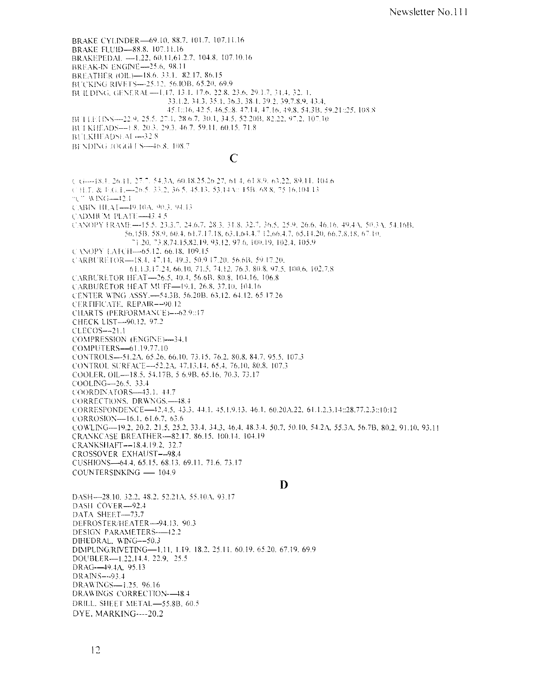BRAKE CYLINDER-69.10, 88.7, 101.7, 107.11.16 BRAKE FLUID-88.8. 107.11.16 BRAKEPEDAL -1.22, 60.11.61.2.7, 104.8, 107.10.16 BREAK-IN ENGINE-25.6, 98.11 BREATHER (OIL)-18.6, 33.1, 82.17, 86.15 BUCKING RIVETS-25.12, 56.IOB, 65.20, 69.9 BUILDING, GENERAL-1.17, 13.1, 17.6, 22.8, 23.6, 29.1.7, 31.4, 32.41. 33.1.2, 34.3, 35.1, 36.3, 38.1, 39.2, 39.7.8.9, 43.4, 45.1::16, 42.5, 46.5::8, 47.14, 47.16, 49.8, 54.3B, 59.21::25, 108.8 BULLETINS--22.9, 25.5, 27.1, 28.6.7, 30.1, 34.5, 52.20B, 82.22, 97.2, 107.10 BUI KHEADS-1.8, 20.3, 29.3, 46.7, 59.11, 60.15, 71.8 BULKHEADSLAI -- 32.8 BENDING JOGGLES-46.8, 108.7

#### $\overline{C}$

C G---- [8.1, 26.1], 27.7, 54.3A, 60.18.25.26.27, 61.4, 61.8.9, 63.22, 89.11, 104.6 € H.T. & F.G.L - 26.5, 33.2, 36.5, 45.13, 53.14 Au 15B, 68.8, 75.16,104.13  $\exists$  C  $\forall$  WING-42.1 CABIN HLAT-49.10A, 90.3, 94.13 CADMIUM PLATU—43.4.5 CANOPY FRAME--15.5, 23.3.7, 24.6.7, 28.3, 31.8, 32.7, 36.5, 25.9, 26.6, 46.16, 49.4A, 50.3A, 54.16B, 56.15B, 58.9, 60.4, 61.7.17.18, 63.1.64.4.7 12.66.4.7, 65.14.20, 66.7.8.18, 67.10, 11.20, 73.8.74.15.82.19, 93.12, 97.6, 100.19, 102.4, 105.9 CANOPY EATCH-65.12, 66.18, 109.15 CARBURETOR—18.4, 47.14, 49.3, 50.9.17.20, 56.6B, 59.17.20, 61.1.3.17.24, 66.10, 71.5, 74.12, 76.3, 80.8, 97.5, 100.6, 102.7.8 CARBURETOR HEAT-26.5, 40.4, 56.6B, 80.8, 104.16, 106.8 CARBURETOR HEAT MUFF-19.1, 26.8, 37.10, 104.16 CENTER WING ASSY.-54.3B, 56.20B, 63.12, 64.12, 65.17.26 CERTIFICATE, REPAIR--90.12 CHARTS (PERFORMANCE)---62.9::17 CHECK LIST-90.12, 97.2 CLECOS--21.1 COMPRESSION (ENGINE)-34.1 COMPUTERS-61.19.77.10 CONTROLS-51.2A, 65.26, 66.10, 73.15, 76.2, 80.8, 84.7, 95.5, 107.3 CONTROL SURFACE-52.2A, 47.13.14, 65.4, 76.10, 80.8, 107.3 COOLER, OIL-18.5, 54.17B, 5 6.9B, 65.16, 70.3, 73.17 COOLING-26.5, 33.4 COORDINATORS-43.1, 44.7 CORRECTIONS, DRWNGS .- 48.4 CORRESPONDENCE-42,4.5, 43.3, 44.1, 45.1.9.13, 46.1, 60,20A.22, 61.1.2.3.14::28.77.2.3::10:12 CORROSION-16.1, 61.6.7, 63.6 COWLING-19.2, 20.2, 21.5, 25.2, 33.4, 34.3, 46.4, 48.3.4, 50.7, 50.10, 54.2A, 55.3A, 56.7B, 80.2, 91.10, 93.11 CRANKCASE BREATHER-82.17, 86.15, 100.14, 104.19 CRANKSHAFT--18.4.19.2, 32.7 CROSSOVER EXHAUST--98.4 CUSHIONS-64.4, 65.15, 68.13, 69.11, 71.6, 73.17 COUNTERSINKING - 104.9

#### D

DASH-28.10, 32.2, 48.2, 52.21A, 55.10A, 93.17 DASH COVER-92.4 DATA SHEET-73.7 DEFROSTER/HEATER—94.13, 90.3 DESIGN PARAMETERS--42.2 DIHEDRAL, WING--50.3 DIMPLING/RIVETING-1.11, 1.19, 18.2, 25.11, 60.19, 65.20, 67.19, 69.9 DOUBLER-1.22.14.4, 22.9, 25.5 DRAG--49.4A, 95.13 DRAINS---93.4 DRAWINGS-1.25, 96.16 DRAWINGS CORRECTION--48.4 DRILL. SHEET METAL-55.8B, 60.5 DYE, MARKING----20.2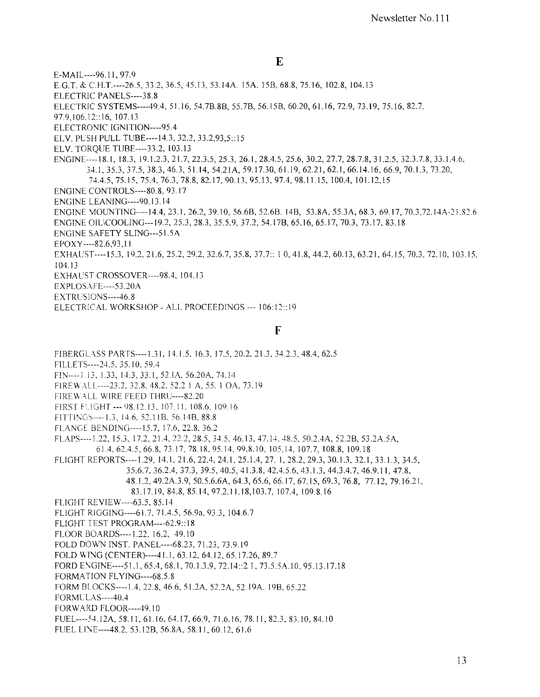E-MAIL----96.11, 97.9

E.G.T. & C.H.T.----26.5, 33.2, 36.5, 45.13, 53.14A, 15A, 15B, 68.8, 75.16, 102.8, 104.13

ELECTRIC PANELS----38.8

ELECTRIC SYSTEMS----49.4, 51.16, 54.7B.8B, 55.7B, 56.15B, 60.20, 61.16, 72.9, 73.19, 75.16, 82.7,

97.9.106.12::16, 107.13

ELECTRONIC IGNITION----95.4

ELV. PUSH PULL TUBE----14.3, 32.2, 33.2.93.5::15

ELV. TOROUE TUBE----33.2, 103.13

ENGINE----18.1, 18.3, 19.1.2.3, 21.7, 22.3.5, 25.3, 26.1, 28.4.5, 25.6, 30.2, 27.7, 28.7.8, 31.2.5, 32.3.7.8, 33.1.4.6. 34.1, 35.3, 37.5, 38.3, 46.3, 51.14, 54.21A, 59.17.30, 61.19, 62.21, 62.1, 66.14.16, 66.9, 70.1.3, 73.20, 74.4.5, 75.15, 75.4, 76.3, 78.8, 82.17, 90.13, 95.13, 97.4, 98.11.15, 100.4, 101.12,15

**ENGINE CONTROLS----80.8, 93.17** 

ENGINE LEANING----90.13.14

ENGINE MOUNTING---14.4, 23.1, 26.2, 39.10, 56.6B, 52.6B. 14B, 53.8A, 55.3A, 68.3, 69.17, 70.3, 72.14A-21.82.6

ENGINE OIL\COOLING---19.2, 25.3, 28.3, 35.5.9, 37.2, 54.17B, 65.16, 65.17, 70.3, 73.17, 83.18

**ENGINE SAFETY SLING---51.5A** 

EPOXY----82.6.93,11

EXHAUST----15.3, 19.2, 21.6, 25.2, 29.2, 32.6.7, 35.8, 37.7:: 1 0, 41.8, 44.2, 60.13, 63.21, 64.15, 70.3, 72.10, 103.15,  $104.13$ 

EXHAUST CROSSOVER---- 98.4, 104.13

EXPLOSAFE----53.20A

EXTRUSIONS----46.8

ELECTRICAL WORKSHOP - ALL PROCEEDINGS --- 106:12::19

 $\mathbf{F}$ 

FIBERGLASS PARTS---- 1.31, 14.1.5, 16.3, 17.5, 20.2, 21.3, 34.2.3, 48.4, 62.5

FILLETS----24.5, 35.10, 59.4

FIN----1.13, 1.33, 14.3, 33.1, 52.1A, 56.20A, 74.14

FIREWALL----23.2, 32.8, 48.2, 52.2 | A, 55. | OA, 73.19

FIREWALL WIRE FEED THRU---- 82.20

FIRST FLIGHT --- 98.12.13, 107.11, 108.6, 109.16

FITTINGS----1.3, 14.6, 52.11B, 56.14B, 88.8

FLANGE BENDING----15.7, 17.6, 22.8, 36.2

FLAPS----1.22, 15.3, 17.2, 21.4, 22.2, 28.5, 34.5, 46.13, 47.14, 48.5, 50.2.4A, 52.2B, 53.2A.5A, 61.4, 62.4.5, 66.8, 73.17, 78.18, 95.14, 99.8.10, 105,14, 107.7, 108.8, 109.18

FLIGHT REPORTS----1.29, 14.1, 21.6, 22.4, 24.1, 25.1.4, 27.1, 28.2, 29.3, 30.1.3, 32.1, 33.1.3, 34.5, 35.6.7, 36.2.4, 37.3, 39.5, 40.5, 41.3.8, 42.4.5.6, 43.1.3, 44.3.4.7, 46.9.11, 47.8,

48.1.2, 49.2A.3.9, 50.5.6.6A, 64.3, 65.6, 66.17, 67.15, 69.3, 76.8, 77.12, 79.16.21, 83.17.19, 84.8, 85.14, 97.2.11.18, 103.7, 107.4, 109.8.16

FLIGHT REVIEW---- 63.5, 85.14

FLIGHT RIGGING---- 61.7, 71.4.5, 56.9a, 93.3, 104.6.7

FLIGHT TEST PROGRAM----62.9::18

FLOOR BOARDS----1.22, 16.2, 49.10

FOLD DOWN INST. PANEL---- 68.23, 71.23, 73.9.19

FOLD WING (CENTER)----41.1, 63.12, 64.12, 65.17.26, 89.7

FORD ENGINE---- 51.1, 65.4, 68.1, 70.1.3.9, 72.14::2 1, 73.5.5A.10, 95.13.17.18

FORMATION FLYING---- 68.5.8

FORM BLOCKS----1.4, 22.8, 46.6, 51.2A, 52.2A, 52.19A, 19B, 65.22

FORMULAS----40.4

FORWARD FLOOR----49.10

FUEL----54.12A, 58.11, 61.16, 64.17, 66.9, 71.6.16, 78.11, 82.3, 83.10, 84.10

FUEL LINE----48.2, 53.12B, 56.8A, 58.11, 60.12, 61.6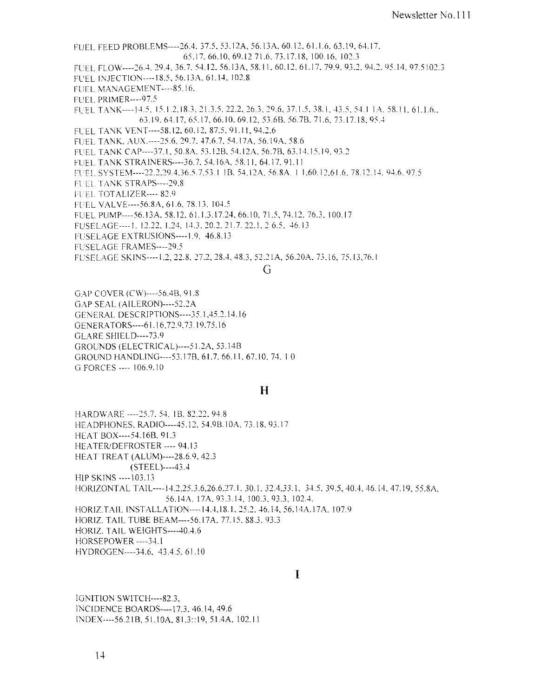FLIFL FEED PROBLEMS----26.4, 37.5, 53.12A, 56.13A, 60.12, 61.1.6, 63.19, 64.17. 65.17, 66.10, 69.12 71.6, 73.17.18, 100.16, 102.3 FUEL FLOW----26.4, 29.4, 36.7, 54.12, 56.13A, 58.11, 60.12, 61.17, 79.9, 93.2, 94.2, 95.14, 97.5102.3 FUEL INJECTION---- 18.5, 56.13A, 61.14, 102.8 FUEL MANAGEMENT----85.16. **FUEL PRIMER----97.5** FUEL TANK----14.5, 15.1.2, 18.3, 21.3.5, 22.2, 26.3, 29.6, 37.1.5, 38.1, 43.5, 54.1 1A, 58.11, 61.1.6., 63.19, 64.17, 65.17, 66.10, 69.12, 53.6B, 56.7B, 71.6, 73.17.18, 95.4 FUEL TANK VENT---- 58.12, 60.12, 87.5, 91.11, 94.2.6 FUEL TANK, AUX.----25.6, 29.7, 47.6.7, 54.17A, 56.19A, 58.6 FUEL TANK CAP----37.1, 50.8A, 53.12B, 54.12A, 56.7B, 63.14.15.19, 93.2 FUEL TANK STRAINERS---- 36.7, 54.16A, 58.11, 64.17, 91.11 FUEL SYSTEM----22.2.29.4.36.5.7,53.1 1B, 54.12A, 56.8A, 1 1,60.12,61.6, 78.12.14, 94.6, 97.5 FUEL TANK STRAPS----29.8 FUEL TOTALIZER---- 82.9 FUEL VALVE---- 56.8A, 61.6, 78.13, 104.5 FUEL PUMP----56.13A, 58.12, 61.1.3.17.24, 66.10, 71.5, 74.12, 76.3, 100.17 FUSELAGE----1, 12.22, 1.24, 14.3, 20.2, 21.7, 22.1, 2 6.5, 46.13 FUSELAGE EXTRUSIONS----1.9, 46.8.13 **FUSELAGE FRAMES----29.5** FUSELAGE SKINS----1.2, 22.8, 27.2, 28.4, 48.3, 52.21A, 56.20A, 73.16, 75.13,76.1

#### G

GAP COVER (CW)----56.4B, 91.8 GAP SEAL (AILERON)----52.2A GENERAL DESCRIPTIONS---- 35.1,45.2.14.16 GENERATORS---- 61.16,72.9,73.19,75.16 GLARE SHIELD----73.9 GROUNDS (ELECTRICAL)----51.2A, 53.14B GROUND HANDLING---- 53.17B, 61.7, 66.11, 67.10, 74.10 G FORCES ---- 106.9.10

#### $\mathbf{H}$

HARDWARE ----25.7, 54, 1B, 82.22, 94.8 HEADPHONES, RADIO---- 45.12, 54.9B.10A, 73.18, 93.17 HEAT BOX---- 54.16B, 91.3 HEATER/DEFROSTER ---- 94.13 HEAT TREAT (ALUM)----28.6.9, 42.3  $(STEEL)$ ----43.4 HIP SKINS ---- 103.13 HORIZONTAL TAIL----14.2.25.3.6,26.6.27.1, 30.1, 32.4,33.1, 34.5, 39.5, 40.4, 46.14, 47.19, 55.8A, 56.14A. 17A, 93.3.14, 100.3, 93.3, 102.4, HORIZ.TAIL INSTALLATION---- 14.4, 18.1, 25.2, 46.14, 56.14A.17A, 107.9 HORIZ. TAIL TUBE BEAM----56.17A, 77.15, 88.3, 93.3 HORIZ. TAIL WEIGHTS----40.4.6 HORSEPOWER ----34.1

HYDROGEN----34.6, 43.4.5, 61.10

#### I

IGNITION SWITCH----82.3, INCIDENCE BOARDS---- 17.3, 46.14, 49.6 INDEX----56.21B, 51.10A, 81.3::19, 51.4A, 102.11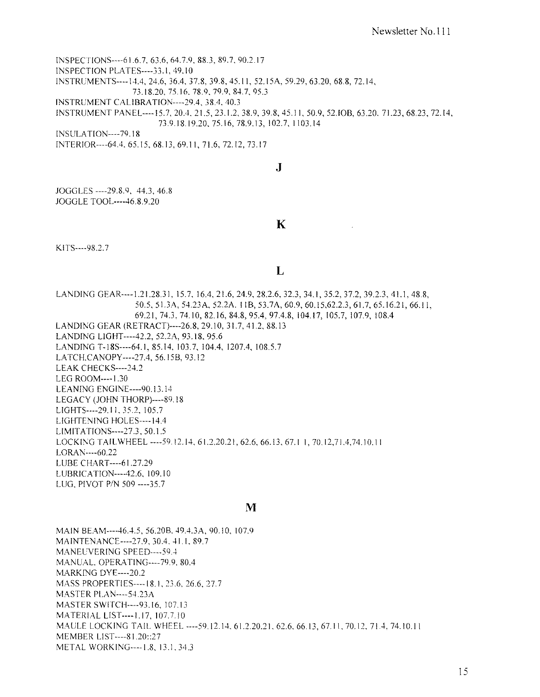INSPECTIONS----61.6.7. 63.6. 64.7.9. 88.3. 89.7. 90.2.17 INSPECTION PLA TES----33.1. 49.10 INSTRCMENTS----14A. 24.6. *3604.* 37.8. 39.8. 45.11. 52.15A. 59.29,63.20, 68.8, 72.14, 73.18.20,75.16.78.9.79.9,84.7,95.3 INSTRUMENT CALIBRATION----29.4, 38.4, 40.3 INSTRUMENT PANEL----15.7, 20.4, 21.5, 23.1.2, 38.9, 39.8, 45.11, 50.9, 52.IOB, 63.20, 71.23, 68.23, 72.14, 73.9.IS.19.20, 75.16, 78.9.13,102.7,1103.14 INSULA T10N----79.IS INTERIOR----64.4. 65.15, 68.13, 69.11, 71.6, 72.12, 73.17

J

JOGGLES ----29.8.9, 44.3.46.8 JOGGLE TooL----46.8.9.20

K

KITS----9S.2.7

#### L

LANDING GEAR----1.21.28.31, 15.7, 16.4, 21.6, 24.9, 28.2.6, 32.3, 34.1, 35.2, 37.2, 39.2.3, 41.1, 48.8, 50.5, SUA, *54.23A, 52.2A.* II B, 53.7 A, 60.9, 60.15,62.2.3, 61.7, 65.16.21, 66.11, 69.21, 74.3, 74.10, 82.16, 84.8, 95.4, 97.4.8, 104.17, 105.7, 107.9, 108.4 LANDING GEAR (RETRACT)----26.8, 29.10,31.7,41.2,88.13 LANDING L1GHT----42.2, *52.2A,* 93.18, 95.6 LANDING T-185----64.1, 85.14,103.7,104.4,1207.4,108.5.7 LATCH.CANOPY----27A, 56.15B, 93.12 LEAK CHECKS----24.2 LEG ROOM----1.30 LEANING ENGINE----90.13.14 LEGACY (JOHN THORP)----89.18 L1GHTS----29.11. 35.2,105.7 LIGHTENING HOLES----14.4 LfMITA T10NS----27.3, 50.1.5 l.OCKING TAIL WHEEL ----59.12.14. 61.2.20.21, 62.6, 66.13, 67.1 I, 70.12,71.4,74.10.11 LORAN----60.22 l.UBE CHART----61.27.29 LUBRICATION----42.6, 109.10 LUG, PIVOT P/N 509 ---- 35.7

#### M

MAIN BEAM----46.4.5, 56.20B. 49.4.3A, 90.10, 107.9 MAINTENANCE----27.9, 30.4. 41.1. 89.7 MANECVERING SPEED----59.4 MANUAL. OPERATING----79.9, 80.4 MARKING DYE----20.2 MASS PROPERTIES----18.I, 23.6. 26.6. 27.7 MASTER Pl.AN----54.23A MASTERSWITCH----93.16.107.13 MATERIAL LlST----1.17, 107.7.10 MAULE LOCKING TAIL WHEEL ----59.12.14, 61.2.20.21, 62.6, 66.13, 67.11, 70.12, 71.4, 74.10.11 MEMBER LfST----81.20::27 METAL WORKING----1.8, 13.1. 34.3

15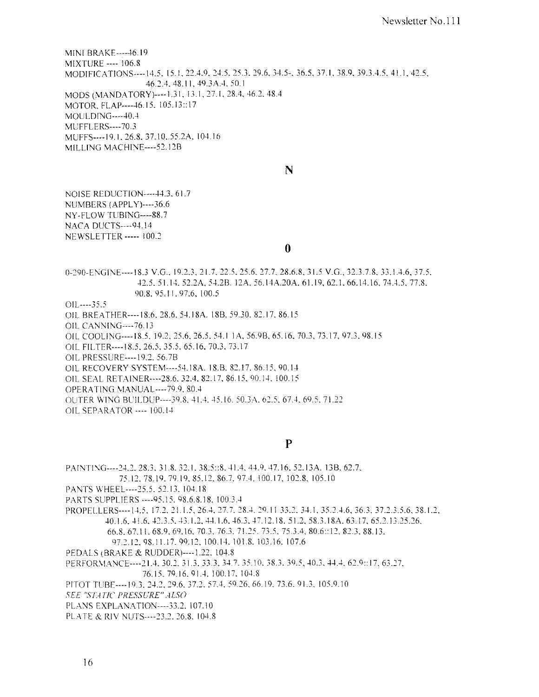**MINI BRAKE----- 46.19 MIXTURE ---- 106.8** MODIFICATIONS----14.5, 15.1, 22.4.9, 24.5, 25.3, 29.6, 34.5-, 36.5, 37.1, 38.9, 39.3.4.5, 41.1, 42.5, 46.2.4, 48.11, 49.3A.4, 50.1 MODS (MANDATORY)----1.31, 13.1, 27.1, 28.4, 46.2, 48.4 MOTOR, FLAP----46.15, 105.13::17 MOULDING----40.4 **MUFFLERS----70.3** MUFFS----19.1, 26.8, 37.10, 55.2A, 104.16 MILLING MACHINE----52.12B

N

**NOISE REDUCTION----44.3, 61.7** NUMBERS (APPLY)----36.6 NY-FLOW TUBING----88.7 NACA DUCTS----94.14 **NEWSLETTER** ----- 100.2

 $\mathbf{0}$ 

0-290-ENGINE----18.3 V.G., 19.2.3, 21.7, 22.5, 25.6, 27.7, 28.6.8, 31.5 V.G., 32.3.7.8, 33.1.4.6, 37.5, 42.5, 51.14, 52.2A, 54.2B, 12A, 56.14A.20A, 61.19, 62.1, 66.14.16, 74.4.5, 77.8, 90.8, 95.11, 97.6, 100.5

 $OIL$ ---35.5

OIL BREATHER---- 18.6, 28.6, 54.18A. 18B, 59.30, 82.17, 86.15

OIL CANNING----76.13

OIL COOLING----18.5, 19.2, 25.6, 26.5, 54.1 1A, 56.9B, 65.16, 70.3, 73.17, 97.3, 98.15

OIL FILTER----18.5, 26.5, 35.5, 65.16, 70.3, 73.17

OIL PRESSURE---- 19.2, 56.7B

OIL RECOVERY SYSTEM---- 54.18A, 18.B, 82.17, 86.15, 90.14

OIL SEAL RETAINER----28.6, 32.4, 82.17, 86.15, 90.14, 100.15

OPERATING MANUAL---- 79.9, 80.4

OUTER WING BUILDUP---- 39.8, 41.4, 45.16, 50.3A, 62.5, 67.4, 69.5, 71.22

OIL SEPARATOR ---- 100.14

#### $\mathbf{P}$

PAINTING----24.2, 28.3, 31.8, 32.1, 38.5::8, 41.4, 44.9, 47.16, 52.13A, 13B, 62.7, 75.12, 78.19, 79.19, 85.12, 86.7, 97.4, 100.17, 102.8, 105.10 PANTS WHEEL----25.5, 52.13, 104.18 PARTS SUPPLIERS ---- 95.15, 98.6.8.18, 100.3.4 PROPELLERS---- 14.5, 17.2, 21.1.5, 26.4, 27.7, 28.4, 29.11 33.2, 34.1, 35.2, 4.6, 36.3, 37.2.3.5.6, 38.1.2, 40.1.6, 41.6, 42.3.5, 43.1.2, 44.1.6, 46.3, 47.12.18, 51.2, 58.3.18A, 63.17, 65.2.13.25.26, 66.8, 67.11, 68.9, 69.16, 70.3, 76.3, 71.25, 73.5, 75.3.4, 80.6::12, 82.3, 88.13, 97.2.12.98.11.17.99.12.100.14.101.8.103.16.107.6 PEDALS (BRAKE & RUDDER)----1.22, 104.8 PERFORMANCE----21.4, 30.2, 31.3, 33.3, 34.7, 35.10, 38.3, 39.5, 40.3, 44.4, 62.9::17, 63.27, 76.15, 79.16, 91.4, 100.17, 104.8 PITOT TUBE---- 19.3, 24.2, 29.6, 37.2, 57.4, 59.26, 66.19, 73.6, 91.3, 105.9.10 SEE "STATIC PRESSURE" ALSO PLANS EXPLANATION----33.2, 107.10 PLATE & RIV NUTS----23.2, 26.8, 104.8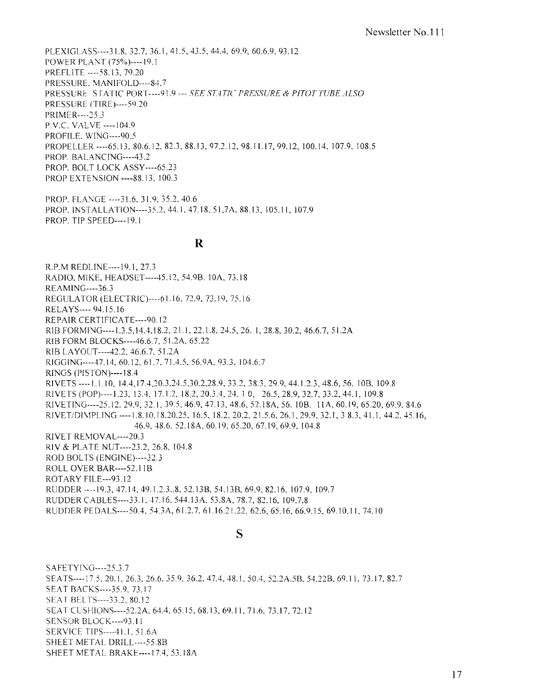PLEXIGLASS----31.8, 32.7, 36.1, 41.5, 43.5, 44.4, 69.9, 60.6.9, 93.12 POWER PLANT (75%)----19.1 PREFLITE ---- 58.13.79.20 PRESSURE, MANIFOLD---- 84.7 PRESSURE. STATIC PORT----91.9 --- SEE STATIC PRESSURE & PITOT TUBE ALSO **PRESSURE (TIRE)----59.20** PRIMER----25.3 P.V.C. VALVE ---- 104.9 PROFILE, WING---- 90.5 PROPELLER ---- 65.13, 80.6.12, 82.3, 88.13, 97.2.12, 98.11.17, 99.12, 100.14, 107.9, 108.5 PROP. BALANCING----43.2 PROP. BOLT LOCK ASSY---- 65.23 PROP EXTENSION ---- 88.13, 100.3

PROP. FLANGE ---- 31.6, 31.9, 35.2, 40.6 PROP. INSTALLATION---- 35.2, 44.1, 47.18, 51, 7A, 88.13, 105.11, 107.9 PROP. TIP SPEED----19.1

#### $\mathbf R$

R.P.M REDLINE----19.1, 27.3 RADIO, MIKE, HEADSET---- 45.12, 54.9B. 10A, 73.18 **REAMING----36.3** REGULATOR (ELECTRIC)---- 61.16, 72.9, 73.19, 75.16 RELAYS---- 94.15.16 REPAIR CERTIFICATE----90.12 RIB FORMING----1.3.5, 14.4, 18.2, 21.1, 22.1.8, 24.5, 26.1, 28.8, 30.2, 46.6.7, 51.2A RIB FORM BLOCKS---- 46.6.7, 51.2A, 65.22 RIB LAYOUT---- 42.2, 46.6.7, 51.2A RIGGING----47.14, 60.12, 61.7, 71.4.5, 56.9A, 93.3, 104.6.7 **RINGS (PISTON)----18.4** RIVETS ----1, 1, 10, 14.4, 17.4, 20.3, 24.5, 30.2, 28.9, 33.2, 38.3, 29.9, 44.1.2.3, 48.6, 56, 10B, 109.8 RIVETS (POP)----1.23, 13.4, 17.1.2, 18.2, 20.3.4, 24, 10, 26.5, 28.9, 32.7, 33.2, 44.1, 109.8 RIVETING----25.12, 29.9, 32.1, 39.5, 46.9, 47.13, 48.6, 52.18A, 56, 10B, 11A, 60.19, 65.20, 69.9, 84.6 RIVET/DIMPLING ----1.8.10.18.20.25, 16.5, 18.2, 20.2, 21.5.6, 26.1, 29.9, 32.1, 3 8.3, 41.1, 44.2, 45.16. 46.9, 48.6, 52.18A, 60.19, 65.20, 67.19, 69.9, 104.8 RIVET REMOVAL----20.3 RIV & PLATE NUT----23.2, 26.8, 104.8 ROD BOLTS (ENGINE)----32.3 ROLL OVER BAR---- 52.11B ROTARY FILE---93.12 RUDDER ----19.3, 47.14, 49.1.2.3., 8, 52.13B, 54.13B, 69.9, 82.16, 107.9, 109.7 RUDDER CABLES----33.1, 47.16, 544.13A, 53.8A, 78.7, 82.16, 109.7.8 RUDDER PEDALS---- 50.4, 54.3A, 61.2.7, 61.16.21.22, 62.6, 65.16, 66.9.15, 69.10.11, 74.10

#### S

SAFETYING----25.3.7 SEATS----17.5, 20.1, 26.3, 26.6, 35.9, 36.2, 47.4, 48.1, 50.4, 52.2A.5B, 54.22B, 69.11, 73.17, 82.7 SEAT BACKS----35.9, 73.17 SEAT BELTS----33.2, 80.12 SEAT CUSHIONS----52.2A, 64.4, 65.15, 68.13, 69.11, 71.6, 73.17, 72.12 **SENSOR BLOCK----93.11** SERVICE TIPS---- 41.1, 51.6A SHEET METAL DRILL----55.8B SHEET METAL BRAKE---- 17.4, 53.18A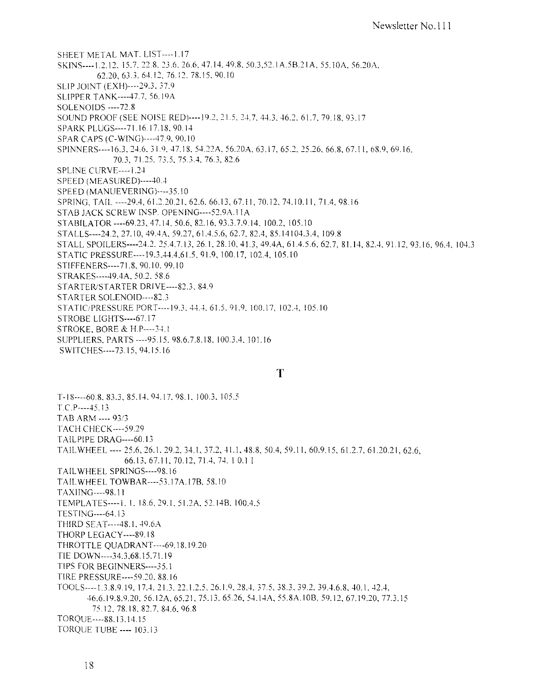SHEET METAL MAT. LIST----1.17 SKINS----1.2.12, 15.7, 22.8, 23.6, 26.6, 47.14, 49.8, 50.3, 52.1A, 5B.21A, 55.10A, 56.20A, 62.20, 63.3, 64.12, 76.12, 78.15, 90.10 SLIP JOINT (EXH)----29.3, 37.9 SLIPPER TANK---- 47.7, 56.19A **SOLENOIDS** ---- 72.8 SOUND PROOF (SEE NOISE RED)----19.2, 21.5, 24.7, 44.3, 46.2, 61.7, 79.18, 93.17 SPARK PLUGS----71.16.17.18, 90.14 SPAR CAPS (C-WING)----47.9, 90.10 SPINNERS----16.3, 24.6, 31.9, 47.18, 54.22A, 56.20A, 63.17, 65.2, 25.26, 66.8, 67.11, 68.9, 69.16. 70.3, 71.25, 73.5, 75.3.4, 76.3, 82.6 SPLINE CURVE---- 1.24 SPEED (MEASURED)----40.4 SPEED (MANUEVERING)----35.10 SPRING, TAIL ----29.4, 61.2.20.21, 62.6, 66.13, 67.11, 70.12, 74.10.11, 71.4, 98.16 STAB JACK SCREW INSP. OPENING---- 52.9A.11A STABILATOR ---- 69.23, 47.14, 50.6, 82.16, 93.3.7.9.14, 100.2, 105.10 STALLS----24.2, 27.10, 49.4A, 59.27, 61.4.5.6, 62.7, 82.4, 85.14104.3.4, 109.8 STALL SPOILERS----24.2, 25.4.7.13, 26.1, 28.10, 41.3, 49.4A, 61.4.5.6, 62.7, 81.14, 82.4, 91.12, 93.16, 96.4, 104.3 STATIC PRESSURE---- 19.3, 44.4, 61.5, 91.9, 100.17, 102.4, 105.10 STIFFENERS----71.8, 90.10, 99.10 STRAKES---- 49.4A, 50.2, 58.6 STARTER/STARTER DRIVE----82.3, 84.9 STARTER SOLENOID----82.3 STATIC/PRESSURE PORT---- 19.3, 44.4, 61.5, 91.9, 100.17, 102.4, 105.10 STROBE LIGHTS---- 67.17 STROKE, BORE & H.P----34.1 SUPPLIERS, PARTS ---- 95.15, 98.6.7.8.18, 100.3.4, 101.16

SWITCHES----73.15, 94.15.16

#### T

 $T-18---60.8$ , 83.3, 85.14, 94.17, 98.1, 100.3, 105.5  $T.C.P---45.13$ TAB ARM ---- 93/3 **TACH CHECK----- 59.29** TAILPIPE DRAG---- 60.13 TAILWHEEL ---- 25.6, 26.1, 29.2, 34.1, 37.2, 41.1, 48.8, 50.4, 59.11, 60.9.15, 61.2.7, 61.20.21, 62.6, 66.13, 67.11, 70.12, 71.4, 74.10.11 TAILWHEEL SPRINGS----98.16 TAILWHEEL TOWBAR---- 53.17A.17B, 58.10 TAXIING----98.11 TEMPLATES----1, 1, 18.6, 29.1, 51.2A, 52.14B, 100.4.5 TESTING---- 64.13 THIRD SEAT----48.1, 49.6A THORP LEGACY----89.18 THROTTLE QUADRANT----69.18.19.20 TIE DOWN----34.3,68.15.71.19 TIPS FOR BEGINNERS----35.1 TIRE PRESSURE---- 59.20, 88.16 TOOLS----1.3.8.9.19, 17.4. 21.3. 22.1.2.5. 26.1.9. 28.4. 37.5. 38.3. 39.2. 39.4.6.8. 40.1. 42.4. 46.6.19.8.9.20, 56.12A, 65.21, 75.13, 65.26, 54.14A, 55.8A, 10B, 59.12, 67.19.20, 77.3.15 75.12, 78.18, 82.7, 84.6, 96.8 TORQUE---- 88.13.14.15 **TORQUE TUBE ---- 103.13**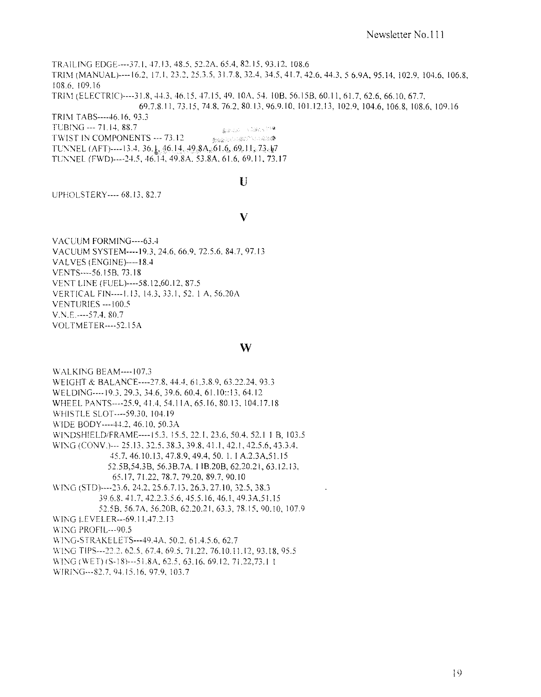TRAILING EDGE----37.1, 47.13, 48.5, 52.2A, 65.4, 82.15, 93.12, 108.6 TRIM (MANUAL)----16.2, 17.1, 23.2, 25.3.5, 31.7.8, 32.4, 34.5, 41.7, 42.6, 44.3, 5 6.9A, 95.14, 102.9, 104.6, 106.8, 108.6.109.16 TRIM (ELECTRIC)----31.8, 44.3, 46.15, 47.15, 49. 10A, 54. 10B, 56.15B, 60.11, 61.7, 62.6, 66.10, 67.7, 69.7.8.11, 73.15, 74.8, 76.2, 80.13, 96.9.10, 101.12.13, 102.9, 104.6, 106.8, 108.6, 109.16 TRIM TABS---- 46.16, 93.3

TUBING --- 71.14, 88.7 森本氏の一人記録の記録 TWIST IN COMPONENTS --- 73.12 - 全ては、この他には、このことを、 こうしょう TUNNEL (AFT)----13.4, 36.1, 46.14, 49.8A, 61.6, 69.11, 73.17 TUNNEL (FWD)----24.5, 46.14, 49.8A, 53.8A, 61.6, 69.11, 73.17

 $\mathbf{U}$ 

UPHOLSTERY---- 68.13, 82.7

#### V

VACUUM FORMING----63.4 VACUUM SYSTEM----19.3, 24.6, 66.9, 72.5.6, 84.7, 97.13 VALVES (ENGINE)----18.4 VENTS----56.15B, 73.18 VENT LINE (FUEL)----58.12,60.12, 87.5 VERTICAL FIN----1.13, 14.3, 33.1, 52.1 A, 56.20A **VENTURIES --- 100.5**  $V.N.E. -- -57.4, 80.7$ VOLTMETER----52.15A

#### W

**WALKING BEAM----107.3** WEIGHT & BALANCE----27.8, 44.4, 61.3.8.9, 63.22.24, 93.3 WELDING----19.3, 29.3, 34.6, 39.6, 60.4, 61.10::13, 64.12 WHEEL PANTS----25.9, 41.4, 54.11A, 65.16, 80.13, 104.17.18 WHISTLE SLOT----59.30, 104.19 WIDE BODY----44.2, 46.10, 50.3A WINDSHIELD/FRAME----15.3, 15.5, 22.1, 23.6, 50.4, 52.1 1 B, 103.5 WING (CONV.)--- 25.13, 32.5, 38.3, 39.8, 41.1, 42.1, 42.5.6, 43.3.4. 45.7, 46.10.13, 47.8.9, 49.4, 50.1, 1 A.2.3A, 51.15 52.5B, 54.3B, 56.3B.7A. 11B.20B, 62.20.21, 63.12.13, 65.17, 71.22, 78.7, 79.20, 89.7, 90.10 WING (STD)----23.6, 24.2, 25.6.7.13, 26.3, 27.10, 32.5, 38.3 39.6.8. 41.7, 42.2.3.5.6, 45.5.16, 46.1, 49.3A, 51.15 52.5B, 56.7A, 56.20B, 62.20.21, 63.3, 78.15, 90.10, 107.9 WING LEVELER---69.11,47.2.13 WING PROFIL--- 90.5 WING-STRAKELETS---49.4A, 50.2, 61.4.5.6, 62.7 WING TIPS---22.2, 62.5, 67.4, 69.5, 71.22, 76.10.11.12, 93.18, 95.5 WING (WET) (S-18)---51.8A, 62.5, 63.16, 69.12, 71.22,73.1 1 WIRING---82.7, 94.15.16, 97.9, 103.7